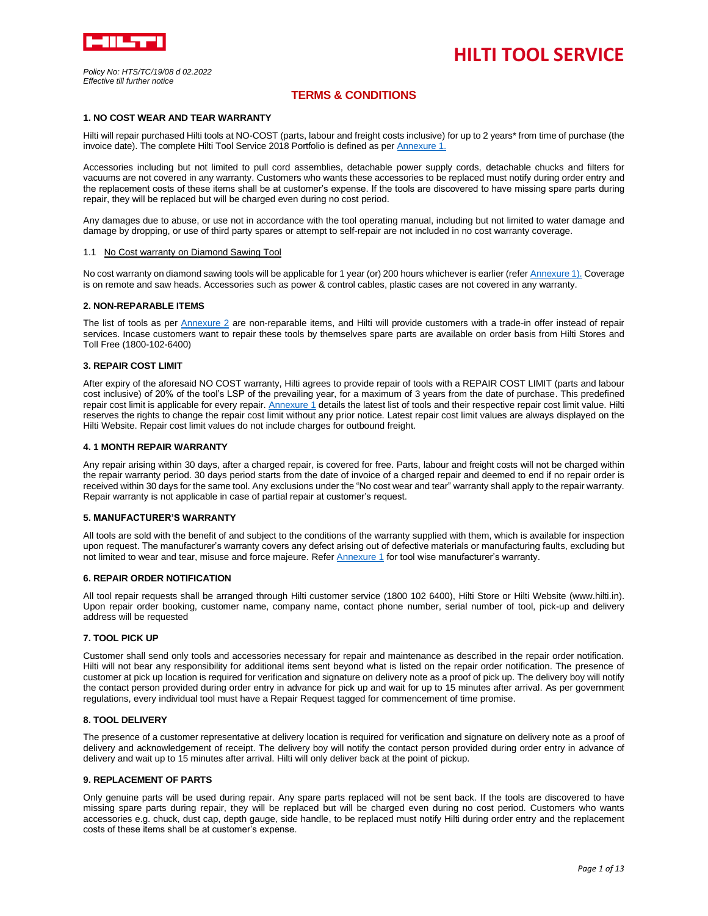

## **HILTI TOOL SERVICE**

### **TERMS & CONDITIONS**

### **1. NO COST WEAR AND TEAR WARRANTY**

Hilti will repair purchased Hilti tools at NO-COST (parts, labour and freight costs inclusive) for up to 2 years\* from time of purchase (the invoice date). The complete Hilti Tool Service 2018 Portfolio is defined as pe[r Annexure 1.](#page-3-0)

Accessories including but not limited to pull cord assemblies, detachable power supply cords, detachable chucks and filters for vacuums are not covered in any warranty. Customers who wants these accessories to be replaced must notify during order entry and the replacement costs of these items shall be at customer's expense. If the tools are discovered to have missing spare parts during repair, they will be replaced but will be charged even during no cost period.

Any damages due to abuse, or use not in accordance with the tool operating manual, including but not limited to water damage and damage by dropping, or use of third party spares or attempt to self-repair are not included in no cost warranty coverage.

### 1.1 No Cost warranty on Diamond Sawing Tool

No cost warranty on diamond sawing tools will be applicable for 1 year (or) 200 hours whichever is earlier (refer [Annexure 1\)](#page-3-0). Coverage is on remote and saw heads. Accessories such as power & control cables, plastic cases are not covered in any warranty.

### **2. NON-REPARABLE ITEMS**

The list of tools as per [Annexure 2](#page-9-0) are non-reparable items, and Hilti will provide customers with a trade-in offer instead of repair services. Incase customers want to repair these tools by themselves spare parts are available on order basis from Hilti Stores and Toll Free (1800-102-6400)

#### **3. REPAIR COST LIMIT**

After expiry of the aforesaid NO COST warranty, Hilti agrees to provide repair of tools with a REPAIR COST LIMIT (parts and labour cost inclusive) of 20% of the tool's LSP of the prevailing year, for a maximum of 3 years from the date of purchase. This predefined repair cost limit is applicable for every repair[. Annexure 1](#page-3-0) details the latest list of tools and their respective repair cost limit value. Hilti reserves the rights to change the repair cost limit without any prior notice. Latest repair cost limit values are always displayed on the [Hilti Website.](https://www.hilti.in/content/hilti/A1/IN/en/services/tool-services/tool-service-.html) Repair cost limit values do not include charges for outbound freight.

### **4. 1 MONTH REPAIR WARRANTY**

Any repair arising within 30 days, after a charged repair, is covered for free. Parts, labour and freight costs will not be charged within the repair warranty period. 30 days period starts from the date of invoice of a charged repair and deemed to end if no repair order is received within 30 days for the same tool. Any exclusions under the "No cost wear and tear" warranty shall apply to the repair warranty. Repair warranty is not applicable in case of partial repair at customer's request.

### **5. MANUFACTURER'S WARRANTY**

All tools are sold with the benefit of and subject to the conditions of the warranty supplied with them, which is available for inspection upon request. The manufacturer's warranty covers any defect arising out of defective materials or manufacturing faults, excluding but not limited to wear and tear, misuse and force majeure. Refe[r Annexure 1](#page-3-0) for tool wise manufacturer's warranty.

### **6. REPAIR ORDER NOTIFICATION**

All tool repair requests shall be arranged through Hilti customer service (1800 102 6400), Hilti Store or Hilti Website (www.hilti.in). Upon repair order booking, customer name, company name, contact phone number, serial number of tool, pick-up and delivery address will be requested

### **7. TOOL PICK UP**

Customer shall send only tools and accessories necessary for repair and maintenance as described in the repair order notification. Hilti will not bear any responsibility for additional items sent beyond what is listed on the repair order notification. The presence of customer at pick up location is required for verification and signature on delivery note as a proof of pick up. The delivery boy will notify the contact person provided during order entry in advance for pick up and wait for up to 15 minutes after arrival. As per government regulations, every individual tool must have a Repair Request tagged for commencement of time promise.

#### **8. TOOL DELIVERY**

The presence of a customer representative at delivery location is required for verification and signature on delivery note as a proof of delivery and acknowledgement of receipt. The delivery boy will notify the contact person provided during order entry in advance of delivery and wait up to 15 minutes after arrival. Hilti will only deliver back at the point of pickup.

### **9. REPLACEMENT OF PARTS**

Only genuine parts will be used during repair. Any spare parts replaced will not be sent back. If the tools are discovered to have missing spare parts during repair, they will be replaced but will be charged even during no cost period. Customers who wants accessories e.g. chuck, dust cap, depth gauge, side handle, to be replaced must notify Hilti during order entry and the replacement costs of these items shall be at customer's expense.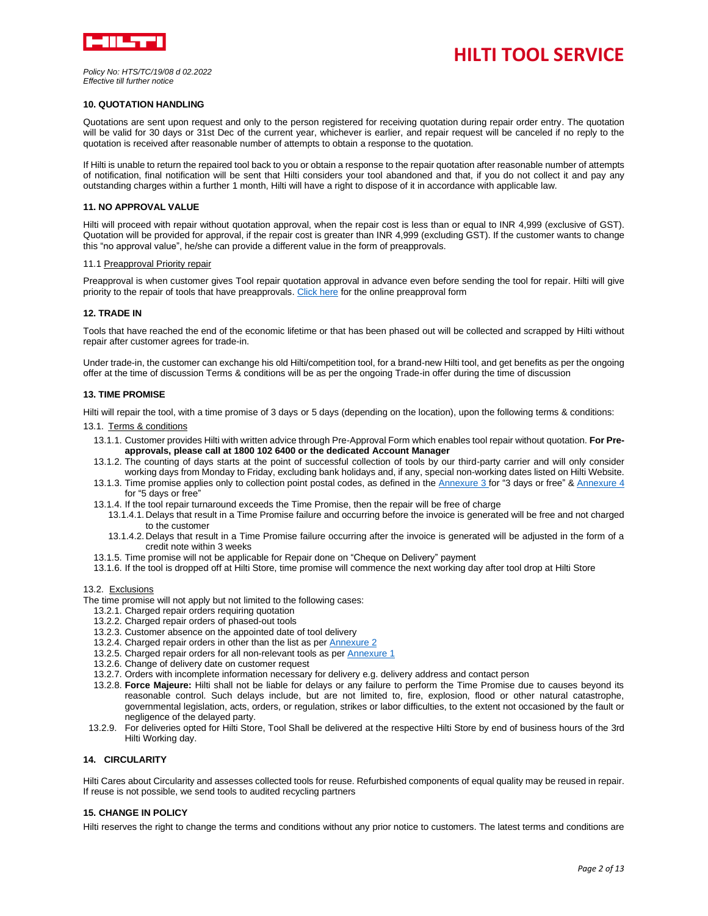

*Policy No: HTS/TC/19/08 d 02.2022 Effective till further notice*

### **10. QUOTATION HANDLING**

Quotations are sent upon request and only to the person registered for receiving quotation during repair order entry. The quotation will be valid for 30 days or 31st Dec of the current year, whichever is earlier, and repair request will be canceled if no reply to the quotation is received after reasonable number of attempts to obtain a response to the quotation.

If Hilti is unable to return the repaired tool back to you or obtain a response to the repair quotation after reasonable number of attempts of notification, final notification will be sent that Hilti considers your tool abandoned and that, if you do not collect it and pay any outstanding charges within a further 1 month, Hilti will have a right to dispose of it in accordance with applicable law.

#### **11. NO APPROVAL VALUE**

Hilti will proceed with repair without quotation approval, when the repair cost is less than or equal to INR 4,999 (exclusive of GST). Quotation will be provided for approval, if the repair cost is greater than INR 4,999 (excluding GST). If the customer wants to change this "no approval value", he/she can provide a different value in the form of preapprovals.

#### 11.1 Preapproval Priority repair

Preapproval is when customer gives Tool repair quotation approval in advance even before sending the tool for repair. Hilti will give priority to the repair of tools that have preapprovals. [Click here](https://www.hilti.in/content/hilti/A2/IN/en/services/tool-services/tool-service-/priority-repair-pre-approval-form.html) for the online preapproval form

#### **12. TRADE IN**

Tools that have reached the end of the economic lifetime or that has been phased out will be collected and scrapped by Hilti without repair after customer agrees for trade-in.

Under trade-in, the customer can exchange his old Hilti/competition tool, for a brand-new Hilti tool, and get benefits as per the ongoing offer at the time of discussion Terms & conditions will be as per the ongoing Trade-in offer during the time of discussion

### **13. TIME PROMISE**

Hilti will repair the tool, with a time promise of 3 days or 5 days (depending on the location), upon the following terms & conditions:

13.1. Terms & conditions

- 13.1.1. Customer provides Hilti with written advice through Pre-Approval Form which enables tool repair without quotation. **For Preapprovals, please call at 1800 102 6400 or the dedicated Account Manager**
- 13.1.2. The counting of days starts at the point of successful collection of tools by our third-party carrier and will only consider working days from Monday to Friday, excluding bank holidays and, if any, special non-working dates listed on Hilti Website.
- 13.1.3. Time promise applies only to collection point postal codes, as defined in th[e Annexure 3](#page-10-0) for "3 days or free" & Annexure 4 for "5 days or free"
- 13.1.4. If the tool repair turnaround exceeds the Time Promise, then the repair will be free of charge
	- 13.1.4.1. Delays that result in a Time Promise failure and occurring before the invoice is generated will be free and not charged to the customer
	- 13.1.4.2. Delays that result in a Time Promise failure occurring after the invoice is generated will be adjusted in the form of a credit note within 3 weeks
- 13.1.5. Time promise will not be applicable for Repair done on "Cheque on Delivery" payment
- 13.1.6. If the tool is dropped off at Hilti Store, time promise will commence the next working day after tool drop at Hilti Store

### 13.2. Exclusions

The time promise will not apply but not limited to the following cases:

- 13.2.1. Charged repair orders requiring quotation
- 13.2.2. Charged repair orders of phased-out tools
- 13.2.3. Customer absence on the appointed date of tool delivery
- 13.2.4. Charged repair orders in other than the list as per **Annexure 2**
- 13.2.5. Charged repair orders for all non-relevant tools as pe[r Annexure 1](#page-3-0)
- 13.2.6. Change of delivery date on customer request
- 13.2.7. Orders with incomplete information necessary for delivery e.g. delivery address and contact person
- 13.2.8. **Force Majeure:** Hilti shall not be liable for delays or any failure to perform the Time Promise due to causes beyond its reasonable control. Such delays include, but are not limited to, fire, explosion, flood or other natural catastrophe, governmental legislation, acts, orders, or regulation, strikes or labor difficulties, to the extent not occasioned by the fault or negligence of the delayed party.
- 13.2.9. For deliveries opted for Hilti Store, Tool Shall be delivered at the respective Hilti Store by end of business hours of the 3rd Hilti Working day.

### **14. CIRCULARITY**

Hilti Cares about Circularity and assesses collected tools for reuse. Refurbished components of equal quality may be reused in repair. If reuse is not possible, we send tools to audited recycling partners

### **15. CHANGE IN POLICY**

Hilti reserves the right to change the terms and conditions without any prior notice to customers. The latest terms and conditions are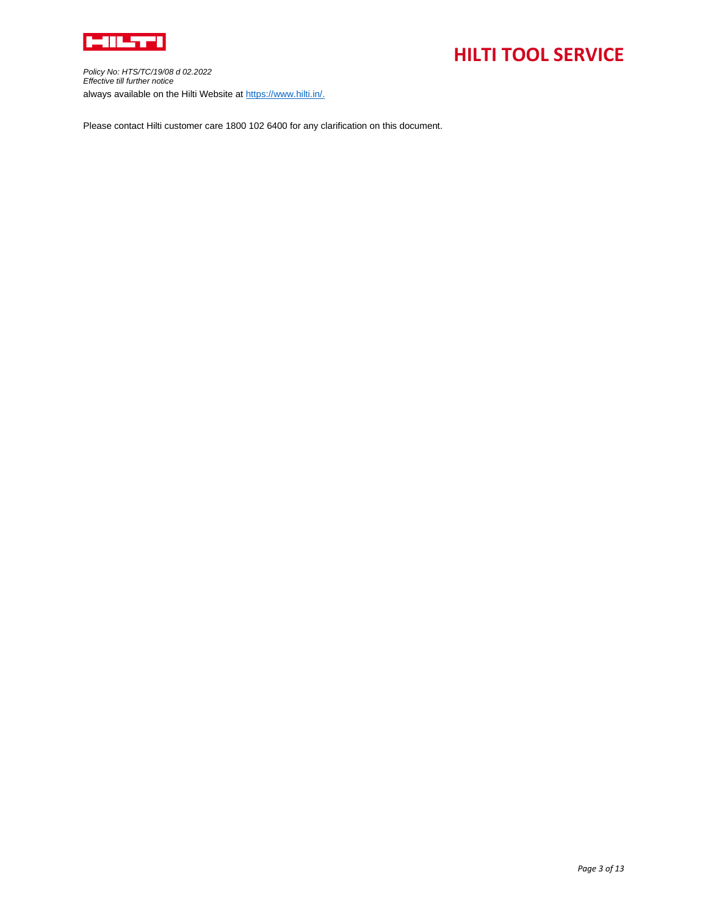

*Policy No: HTS/TC/19/08 d 02.2022 Effective till further notice* always available on the Hilti Website at [https://www.hilti.in/.](https://www.hilti.in/content/hilti/A1/IN/en/services/tool-services/tool-service-.html)

Please contact Hilti customer care 1800 102 6400 for any clarification on this document.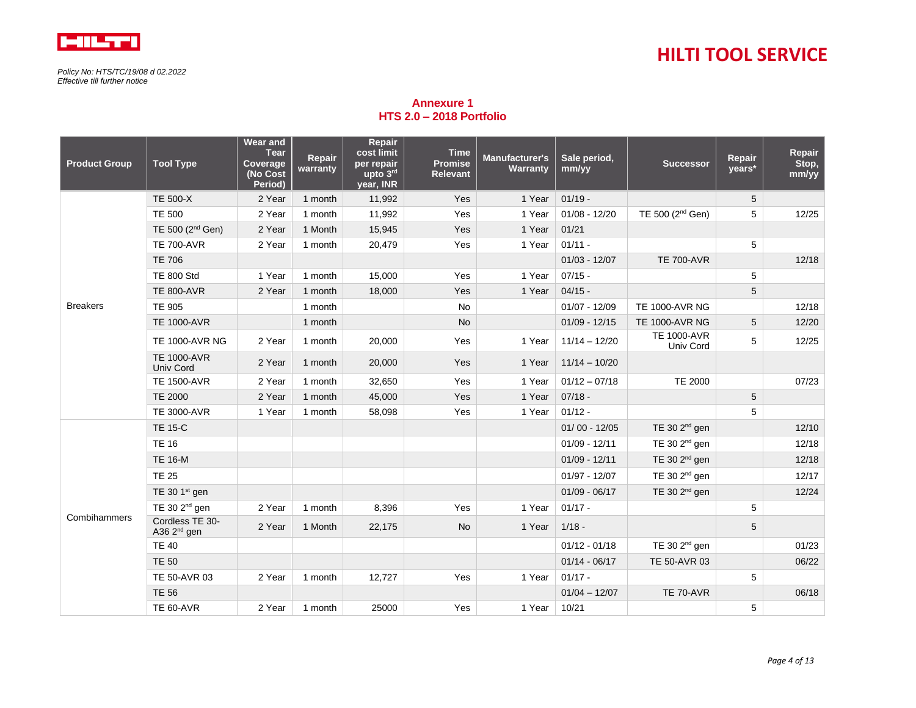

## **HILTI TOOL SERVICE**

### **Annexure 1 HTS 2.0 – 2018 Portfolio**

<span id="page-3-0"></span>

| <b>Product Group</b> | <b>Tool Type</b>                           | <b>Wear and</b><br><b>Tear</b><br>Coverage<br>(No Cost<br>Period) | Repair<br>warranty | Repair<br>cost limit<br>per repair<br>upto 3rd<br>year, INR | <b>Time</b><br>Promise<br><b>Relevant</b> | <b>Manufacturer's</b><br>Warranty | Sale period,<br>mm/yy | <b>Successor</b>                | Repair<br>years* | Repair<br>Stop,<br>mm/yy |
|----------------------|--------------------------------------------|-------------------------------------------------------------------|--------------------|-------------------------------------------------------------|-------------------------------------------|-----------------------------------|-----------------------|---------------------------------|------------------|--------------------------|
|                      | TE 500-X                                   | 2 Year                                                            | 1 month            | 11,992                                                      | Yes                                       | 1 Year                            | $01/19 -$             |                                 | 5                |                          |
|                      | <b>TE 500</b>                              | 2 Year                                                            | 1 month            | 11,992                                                      | Yes                                       | 1 Year                            | $01/08 - 12/20$       | TE 500 (2 <sup>nd</sup> Gen)    | 5                | 12/25                    |
|                      | TE 500 (2 <sup>nd</sup> Gen)               | 2 Year                                                            | 1 Month            | 15,945                                                      | Yes                                       | 1 Year                            | 01/21                 |                                 |                  |                          |
|                      | <b>TE 700-AVR</b>                          | 2 Year                                                            | 1 month            | 20,479                                                      | Yes                                       | 1 Year                            | $01/11 -$             |                                 | 5                |                          |
|                      | <b>TE 706</b>                              |                                                                   |                    |                                                             |                                           |                                   | $01/03 - 12/07$       | <b>TE 700-AVR</b>               |                  | 12/18                    |
|                      | <b>TE 800 Std</b>                          | 1 Year                                                            | 1 month            | 15,000                                                      | Yes                                       | 1 Year                            | $07/15 -$             |                                 | 5                |                          |
|                      | <b>TE 800-AVR</b>                          | 2 Year                                                            | 1 month            | 18,000                                                      | Yes                                       | 1 Year                            | $04/15 -$             |                                 | 5                |                          |
| <b>Breakers</b>      | <b>TE 905</b>                              |                                                                   | 1 month            |                                                             | <b>No</b>                                 |                                   | $01/07 - 12/09$       | <b>TE 1000-AVR NG</b>           |                  | 12/18                    |
|                      | <b>TE 1000-AVR</b>                         |                                                                   | 1 month            |                                                             | <b>No</b>                                 |                                   | $01/09 - 12/15$       | <b>TE 1000-AVR NG</b>           | 5                | 12/20                    |
|                      | <b>TE 1000-AVR NG</b>                      | 2 Year                                                            | 1 month            | 20,000                                                      | Yes                                       | 1 Year                            | $11/14 - 12/20$       | <b>TE 1000-AVR</b><br>Univ Cord | 5                | 12/25                    |
|                      | <b>TE 1000-AVR</b><br>Univ Cord            | 2 Year                                                            | 1 month            | 20,000                                                      | Yes                                       | 1 Year                            | $11/14 - 10/20$       |                                 |                  |                          |
|                      | <b>TE 1500-AVR</b>                         | 2 Year                                                            | 1 month            | 32,650                                                      | Yes                                       | 1 Year                            | $01/12 - 07/18$       | <b>TE 2000</b>                  |                  | 07/23                    |
|                      | <b>TE 2000</b>                             | 2 Year                                                            | 1 month            | 45,000                                                      | Yes                                       | 1 Year                            | $07/18 -$             |                                 | 5                |                          |
|                      | <b>TE 3000-AVR</b>                         | 1 Year                                                            | 1 month            | 58,098                                                      | Yes                                       | 1 Year                            | $01/12 -$             |                                 | 5                |                          |
|                      | <b>TE 15-C</b>                             |                                                                   |                    |                                                             |                                           |                                   | $01/00 - 12/05$       | TE 30 2 <sup>nd</sup> gen       |                  | 12/10                    |
|                      | <b>TE 16</b>                               |                                                                   |                    |                                                             |                                           |                                   | $01/09 - 12/11$       | TE 30 2 <sup>nd</sup> gen       |                  | 12/18                    |
|                      | <b>TE 16-M</b>                             |                                                                   |                    |                                                             |                                           |                                   | $01/09 - 12/11$       | TE 30 $2nd$ gen                 |                  | 12/18                    |
|                      | <b>TE 25</b>                               |                                                                   |                    |                                                             |                                           |                                   | $01/97 - 12/07$       | TE 30 2 <sup>nd</sup> gen       |                  | 12/17                    |
|                      | TE 30 $1st$ gen                            |                                                                   |                    |                                                             |                                           |                                   | $01/09 - 06/17$       | TE 30 2 <sup>nd</sup> gen       |                  | 12/24                    |
|                      | TE 30 2 <sup>nd</sup> gen                  | 2 Year                                                            | 1 month            | 8,396                                                       | Yes                                       | 1 Year                            | $01/17 -$             |                                 | 5                |                          |
| Combihammers         | Cordless TE 30-<br>A36 2 <sup>nd</sup> gen | 2 Year                                                            | 1 Month            | 22,175                                                      | <b>No</b>                                 | 1 Year                            | $1/18 -$              |                                 | 5                |                          |
|                      | <b>TE 40</b>                               |                                                                   |                    |                                                             |                                           |                                   | $01/12 - 01/18$       | TE 30 2 <sup>nd</sup> gen       |                  | 01/23                    |
|                      | <b>TE 50</b>                               |                                                                   |                    |                                                             |                                           |                                   | $01/14 - 06/17$       | TE 50-AVR 03                    |                  | 06/22                    |
|                      | TE 50-AVR 03                               | 2 Year                                                            | 1 month            | 12,727                                                      | Yes                                       | 1 Year                            | $01/17 -$             |                                 | 5                |                          |
|                      | <b>TE 56</b>                               |                                                                   |                    |                                                             |                                           |                                   | $01/04 - 12/07$       | <b>TE 70-AVR</b>                |                  | 06/18                    |
|                      | <b>TE 60-AVR</b>                           | 2 Year                                                            | 1 month            | 25000                                                       | Yes                                       | 1 Year                            | 10/21                 |                                 | 5                |                          |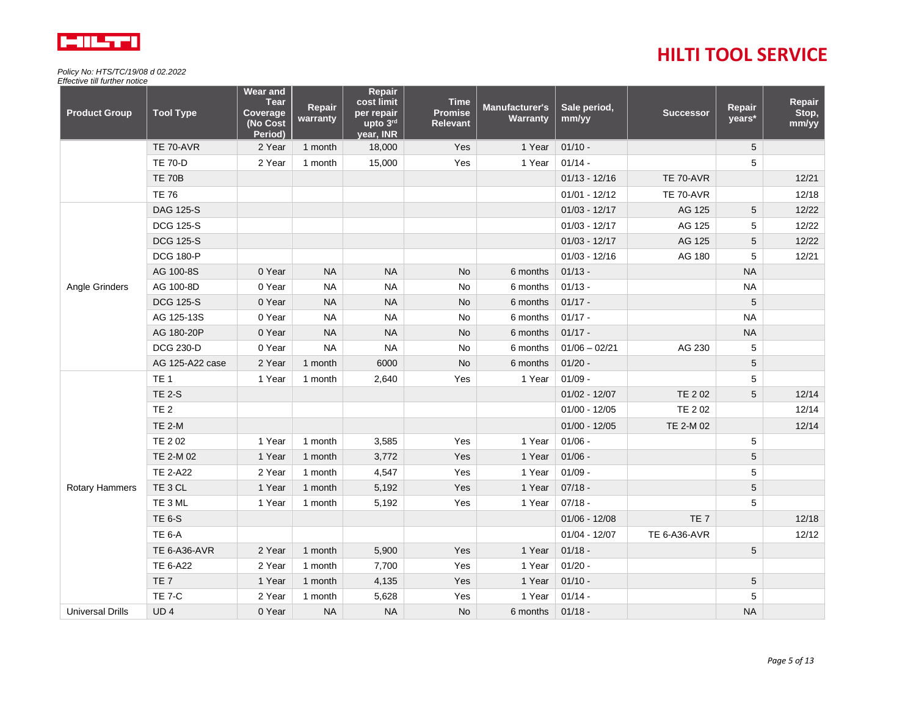

| <b>Product Group</b>    | <b>Tool Type</b>    | Wear and<br><b>Tear</b><br>Coverage<br>(No Cost<br>Period) | Repair<br>warranty | Repair<br>cost limit<br>per repair<br>upto 3rd<br>year, INR | <b>Time</b><br><b>Promise</b><br><b>Relevant</b> | Manufacturer's<br>Warranty | Sale period,<br>mm/yy | <b>Successor</b>    | Repair<br>years* | Repair<br>Stop,<br>mm/yy |
|-------------------------|---------------------|------------------------------------------------------------|--------------------|-------------------------------------------------------------|--------------------------------------------------|----------------------------|-----------------------|---------------------|------------------|--------------------------|
|                         | <b>TE 70-AVR</b>    | 2 Year                                                     | 1 month            | 18,000                                                      | Yes                                              | 1 Year                     | $01/10 -$             |                     | 5                |                          |
|                         | <b>TE 70-D</b>      | 2 Year                                                     | 1 month            | 15,000                                                      | Yes                                              | 1 Year                     | $01/14 -$             |                     | 5                |                          |
|                         | <b>TE 70B</b>       |                                                            |                    |                                                             |                                                  |                            | $01/13 - 12/16$       | <b>TE 70-AVR</b>    |                  | 12/21                    |
|                         | <b>TE 76</b>        |                                                            |                    |                                                             |                                                  |                            | $01/01 - 12/12$       | <b>TE 70-AVR</b>    |                  | 12/18                    |
|                         | <b>DAG 125-S</b>    |                                                            |                    |                                                             |                                                  |                            | $01/03 - 12/17$       | AG 125              | 5                | 12/22                    |
|                         | <b>DCG 125-S</b>    |                                                            |                    |                                                             |                                                  |                            | $01/03 - 12/17$       | AG 125              | 5                | 12/22                    |
|                         | <b>DCG 125-S</b>    |                                                            |                    |                                                             |                                                  |                            | $01/03 - 12/17$       | AG 125              | 5                | 12/22                    |
|                         | <b>DCG 180-P</b>    |                                                            |                    |                                                             |                                                  |                            | $01/03 - 12/16$       | AG 180              | 5                | 12/21                    |
|                         | AG 100-8S           | 0 Year                                                     | <b>NA</b>          | <b>NA</b>                                                   | No                                               | 6 months                   | $01/13 -$             |                     | <b>NA</b>        |                          |
| Angle Grinders          | AG 100-8D           | 0 Year                                                     | <b>NA</b>          | <b>NA</b>                                                   | No                                               | 6 months                   | $01/13 -$             |                     | <b>NA</b>        |                          |
|                         | <b>DCG 125-S</b>    | 0 Year                                                     | <b>NA</b>          | <b>NA</b>                                                   | <b>No</b>                                        | 6 months                   | $01/17 -$             |                     | 5                |                          |
|                         | AG 125-13S          | 0 Year                                                     | <b>NA</b>          | <b>NA</b>                                                   | No                                               | 6 months                   | $01/17 -$             |                     | <b>NA</b>        |                          |
|                         | AG 180-20P          | 0 Year                                                     | <b>NA</b>          | <b>NA</b>                                                   | No                                               | 6 months                   | $01/17 -$             |                     | <b>NA</b>        |                          |
|                         | <b>DCG 230-D</b>    | 0 Year                                                     | <b>NA</b>          | <b>NA</b>                                                   | No                                               | 6 months                   | $01/06 - 02/21$       | AG 230              | 5                |                          |
|                         | AG 125-A22 case     | 2 Year                                                     | 1 month            | 6000                                                        | <b>No</b>                                        | 6 months                   | $01/20 -$             |                     | $\sqrt{5}$       |                          |
|                         | TE <sub>1</sub>     | 1 Year                                                     | 1 month            | 2,640                                                       | Yes                                              | 1 Year                     | $01/09 -$             |                     | 5                |                          |
|                         | <b>TE 2-S</b>       |                                                            |                    |                                                             |                                                  |                            | $01/02 - 12/07$       | TE 202              | 5                | 12/14                    |
|                         | TE <sub>2</sub>     |                                                            |                    |                                                             |                                                  |                            | $01/00 - 12/05$       | <b>TE 202</b>       |                  | 12/14                    |
|                         | <b>TE 2-M</b>       |                                                            |                    |                                                             |                                                  |                            | $01/00 - 12/05$       | TE 2-M 02           |                  | 12/14                    |
|                         | TE 202              | 1 Year                                                     | 1 month            | 3,585                                                       | Yes                                              | 1 Year                     | $01/06 -$             |                     | 5                |                          |
|                         | TE 2-M 02           | 1 Year                                                     | 1 month            | 3,772                                                       | Yes                                              | 1 Year                     | $01/06 -$             |                     | 5                |                          |
|                         | <b>TE 2-A22</b>     | 2 Year                                                     | 1 month            | 4,547                                                       | Yes                                              | 1 Year                     | $01/09 -$             |                     | 5                |                          |
| <b>Rotary Hammers</b>   | TE 3 CL             | 1 Year                                                     | 1 month            | 5,192                                                       | Yes                                              | 1 Year                     | $07/18 -$             |                     | 5                |                          |
|                         | TE <sub>3</sub> ML  | 1 Year                                                     | 1 month            | 5,192                                                       | Yes                                              | 1 Year                     | $07/18 -$             |                     | 5                |                          |
|                         | <b>TE 6-S</b>       |                                                            |                    |                                                             |                                                  |                            | $01/06 - 12/08$       | TE <sub>7</sub>     |                  | 12/18                    |
|                         | <b>TE 6-A</b>       |                                                            |                    |                                                             |                                                  |                            | $01/04 - 12/07$       | <b>TE 6-A36-AVR</b> |                  | 12/12                    |
|                         | <b>TE 6-A36-AVR</b> | 2 Year                                                     | 1 month            | 5,900                                                       | Yes                                              | 1 Year                     | $01/18 -$             |                     | 5                |                          |
|                         | <b>TE 6-A22</b>     | 2 Year                                                     | 1 month            | 7,700                                                       | Yes                                              | 1 Year                     | $01/20 -$             |                     |                  |                          |
|                         | TE <sub>7</sub>     | 1 Year                                                     | 1 month            | 4,135                                                       | Yes                                              | 1 Year                     | $01/10 -$             |                     | 5                |                          |
|                         | <b>TE 7-C</b>       | 2 Year                                                     | 1 month            | 5,628                                                       | Yes                                              | 1 Year                     | $01/14 -$             |                     | 5                |                          |
| <b>Universal Drills</b> | UD4                 | 0 Year                                                     | <b>NA</b>          | <b>NA</b>                                                   | No.                                              | 6 months                   | $01/18 -$             |                     | <b>NA</b>        |                          |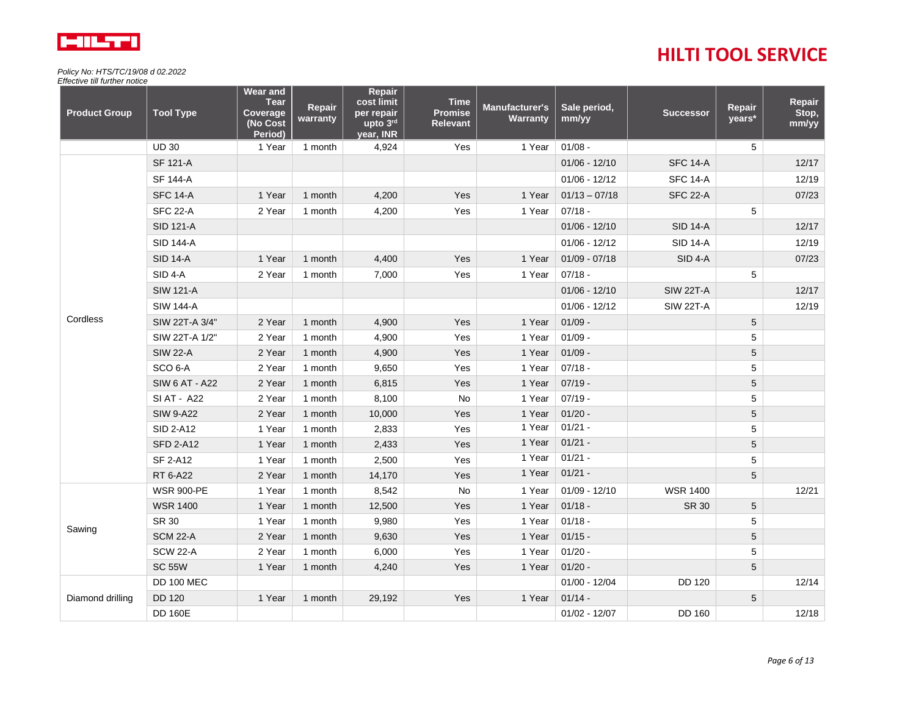

| <b>Product Group</b> | <b>Tool Type</b>      | <b>Wear and</b><br>Tear<br>Coverage<br>(No Cost<br>Period) | Repair<br>warranty | Repair<br>cost limit<br>per repair<br>upto 3rd<br>year, INR | <b>Time</b><br>Promise<br><b>Relevant</b> | <b>Manufacturer's</b><br>Warranty | Sale period,<br>mm/yy | <b>Successor</b>    | Repair<br>years* | Repair<br>Stop,<br>mm/yy |
|----------------------|-----------------------|------------------------------------------------------------|--------------------|-------------------------------------------------------------|-------------------------------------------|-----------------------------------|-----------------------|---------------------|------------------|--------------------------|
|                      | <b>UD 30</b>          | 1 Year                                                     | 1 month            | 4,924                                                       | Yes                                       | 1 Year                            | $01/08 -$             |                     | 5                |                          |
|                      | <b>SF 121-A</b>       |                                                            |                    |                                                             |                                           |                                   | $01/06 - 12/10$       | <b>SFC 14-A</b>     |                  | 12/17                    |
|                      | <b>SF 144-A</b>       |                                                            |                    |                                                             |                                           |                                   | $01/06 - 12/12$       | <b>SFC 14-A</b>     |                  | 12/19                    |
|                      | <b>SFC 14-A</b>       | 1 Year                                                     | 1 month            | 4,200                                                       | Yes                                       | 1 Year                            | $01/13 - 07/18$       | <b>SFC 22-A</b>     |                  | 07/23                    |
|                      | <b>SFC 22-A</b>       | 2 Year                                                     | 1 month            | 4,200                                                       | Yes                                       | 1 Year                            | $07/18 -$             |                     | 5                |                          |
|                      | <b>SID 121-A</b>      |                                                            |                    |                                                             |                                           |                                   | $01/06 - 12/10$       | <b>SID 14-A</b>     |                  | 12/17                    |
|                      | <b>SID 144-A</b>      |                                                            |                    |                                                             |                                           |                                   | $01/06 - 12/12$       | <b>SID 14-A</b>     |                  | 12/19                    |
|                      | <b>SID 14-A</b>       | 1 Year                                                     | 1 month            | 4.400                                                       | Yes                                       | 1 Year                            | $01/09 - 07/18$       | SID <sub>4</sub> -A |                  | 07/23                    |
|                      | SID 4-A               | 2 Year                                                     | 1 month            | 7,000                                                       | Yes                                       | 1 Year                            | $07/18 -$             |                     | 5                |                          |
|                      | <b>SIW 121-A</b>      |                                                            |                    |                                                             |                                           |                                   | $01/06 - 12/10$       | <b>SIW 22T-A</b>    |                  | 12/17                    |
|                      | <b>SIW 144-A</b>      |                                                            |                    |                                                             |                                           |                                   | $01/06 - 12/12$       | <b>SIW 22T-A</b>    |                  | 12/19                    |
| Cordless             | SIW 22T-A 3/4"        | 2 Year                                                     | 1 month            | 4,900                                                       | Yes                                       | 1 Year                            | $01/09 -$             |                     | $\sqrt{5}$       |                          |
|                      | SIW 22T-A 1/2"        | 2 Year                                                     | 1 month            | 4,900                                                       | Yes                                       | 1 Year                            | $01/09 -$             |                     | 5                |                          |
|                      | <b>SIW 22-A</b>       | 2 Year                                                     | 1 month            | 4,900                                                       | Yes                                       | 1 Year                            | $01/09 -$             |                     | 5                |                          |
|                      | SCO <sub>6</sub> -A   | 2 Year                                                     | 1 month            | 9.650                                                       | Yes                                       | 1 Year                            | $07/18 -$             |                     | 5                |                          |
|                      | <b>SIW 6 AT - A22</b> | 2 Year                                                     | 1 month            | 6,815                                                       | Yes                                       | 1 Year                            | $07/19 -$             |                     | $\sqrt{5}$       |                          |
|                      | SI AT - A22           | 2 Year                                                     | 1 month            | 8,100                                                       | No                                        | 1 Year                            | $07/19 -$             |                     | 5                |                          |
|                      | <b>SIW 9-A22</b>      | 2 Year                                                     | 1 month            | 10,000                                                      | Yes                                       | 1 Year                            | $01/20 -$             |                     | $\sqrt{5}$       |                          |
|                      | <b>SID 2-A12</b>      | 1 Year                                                     | 1 month            | 2,833                                                       | Yes                                       | 1 Year                            | $01/21 -$             |                     | 5                |                          |
|                      | <b>SFD 2-A12</b>      | 1 Year                                                     | 1 month            | 2,433                                                       | Yes                                       | 1 Year                            | $01/21 -$             |                     | $\sqrt{5}$       |                          |
|                      | <b>SF 2-A12</b>       | 1 Year                                                     | 1 month            | 2,500                                                       | Yes                                       | 1 Year                            | $01/21 -$             |                     | 5                |                          |
|                      | RT 6-A22              | 2 Year                                                     | 1 month            | 14,170                                                      | Yes                                       | 1 Year                            | $01/21 -$             |                     | 5                |                          |
|                      | <b>WSR 900-PE</b>     | 1 Year                                                     | 1 month            | 8,542                                                       | <b>No</b>                                 | 1 Year                            | $01/09 - 12/10$       | <b>WSR 1400</b>     |                  | 12/21                    |
|                      | <b>WSR 1400</b>       | 1 Year                                                     | 1 month            | 12,500                                                      | Yes                                       | 1 Year                            | $01/18 -$             | <b>SR 30</b>        | 5                |                          |
| Sawing               | SR 30                 | 1 Year                                                     | 1 month            | 9,980                                                       | Yes                                       | 1 Year                            | $01/18 -$             |                     | $\mathbf 5$      |                          |
|                      | <b>SCM 22-A</b>       | 2 Year                                                     | 1 month            | 9,630                                                       | Yes                                       | 1 Year                            | $01/15 -$             |                     | $\sqrt{5}$       |                          |
|                      | <b>SCW 22-A</b>       | 2 Year                                                     | 1 month            | 6,000                                                       | Yes                                       | 1 Year                            | $01/20 -$             |                     | 5                |                          |
|                      | <b>SC 55W</b>         | 1 Year                                                     | 1 month            | 4,240                                                       | Yes                                       | 1 Year                            | $01/20 -$             |                     | 5                |                          |
|                      | <b>DD 100 MEC</b>     |                                                            |                    |                                                             |                                           |                                   | $01/00 - 12/04$       | <b>DD 120</b>       |                  | 12/14                    |
| Diamond drilling     | <b>DD 120</b>         | 1 Year                                                     | 1 month            | 29,192                                                      | Yes                                       | 1 Year                            | $01/14 -$             |                     | $\sqrt{5}$       |                          |
|                      | <b>DD 160E</b>        |                                                            |                    |                                                             |                                           |                                   | $01/02 - 12/07$       | DD 160              |                  | 12/18                    |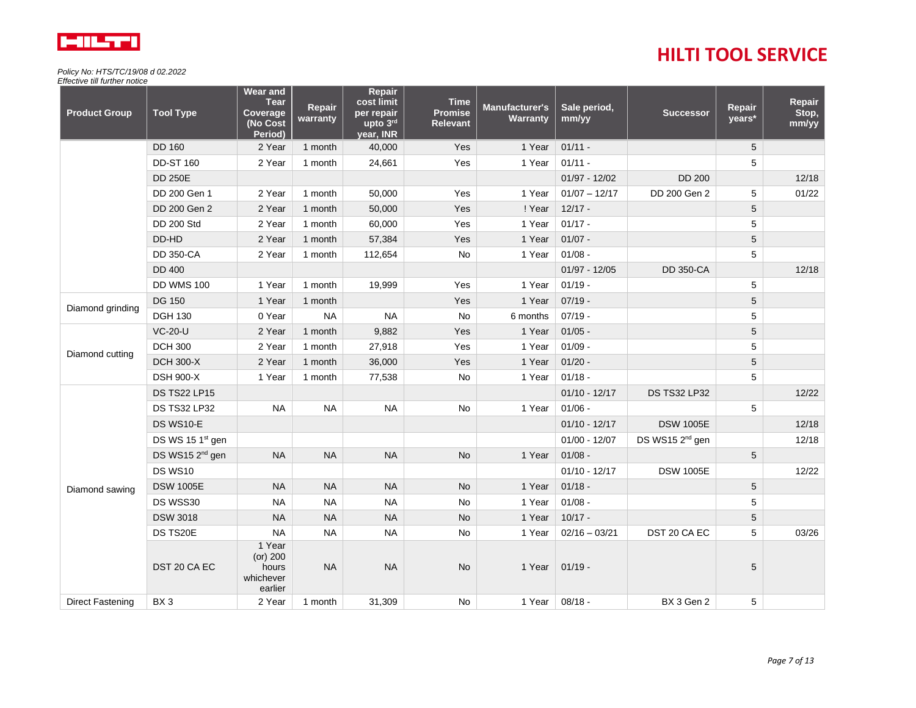

| <b>Product Group</b> | <b>Tool Type</b>            | <b>Wear and</b><br><b>Tear</b><br>Coverage<br>(No Cost<br>Period) | Repair<br>warranty | Repair<br>cost limit<br>per repair<br>upto 3rd<br>year, INR | <b>Time</b><br>Promise<br><b>Relevant</b> | <b>Manufacturer's</b><br>Warranty | Sale period,<br>mm/yy | <b>Successor</b>            | Repair<br>years* | Repair<br>Stop,<br>mm/yy |
|----------------------|-----------------------------|-------------------------------------------------------------------|--------------------|-------------------------------------------------------------|-------------------------------------------|-----------------------------------|-----------------------|-----------------------------|------------------|--------------------------|
|                      | <b>DD 160</b>               | 2 Year                                                            | 1 month            | 40,000                                                      | Yes                                       | 1 Year                            | $01/11 -$             |                             | 5                |                          |
|                      | <b>DD-ST 160</b>            | 2 Year                                                            | 1 month            | 24,661                                                      | Yes                                       | 1 Year                            | $01/11 -$             |                             | 5                |                          |
|                      | <b>DD 250E</b>              |                                                                   |                    |                                                             |                                           |                                   | $01/97 - 12/02$       | <b>DD 200</b>               |                  | 12/18                    |
|                      | DD 200 Gen 1                | 2 Year                                                            | 1 month            | 50,000                                                      | Yes                                       | 1 Year                            | $01/07 - 12/17$       | DD 200 Gen 2                | 5                | 01/22                    |
|                      | DD 200 Gen 2                | 2 Year                                                            | 1 month            | 50,000                                                      | Yes                                       | ! Year                            | $12/17 -$             |                             | 5                |                          |
|                      | <b>DD 200 Std</b>           | 2 Year                                                            | 1 month            | 60,000                                                      | Yes                                       | 1 Year                            | $01/17 -$             |                             | 5                |                          |
|                      | DD-HD                       | 2 Year                                                            | 1 month            | 57,384                                                      | Yes                                       | 1 Year                            | $01/07 -$             |                             | 5                |                          |
|                      | <b>DD 350-CA</b>            | 2 Year                                                            | 1 month            | 112,654                                                     | <b>No</b>                                 | 1 Year                            | $01/08 -$             |                             | 5                |                          |
|                      | <b>DD 400</b>               |                                                                   |                    |                                                             |                                           |                                   | $01/97 - 12/05$       | <b>DD 350-CA</b>            |                  | 12/18                    |
|                      | <b>DD WMS 100</b>           | 1 Year                                                            | 1 month            | 19,999                                                      | Yes                                       | 1 Year                            | $01/19 -$             |                             | 5                |                          |
| Diamond grinding     | <b>DG 150</b>               | 1 Year                                                            | 1 month            |                                                             | Yes                                       | 1 Year                            | $07/19 -$             |                             | 5                |                          |
|                      | <b>DGH 130</b>              | 0 Year                                                            | <b>NA</b>          | <b>NA</b>                                                   | <b>No</b>                                 | 6 months                          | $07/19 -$             |                             | 5                |                          |
| Diamond cutting      | <b>VC-20-U</b>              | 2 Year                                                            | 1 month            | 9,882                                                       | Yes                                       | 1 Year                            | $01/05 -$             |                             | 5                |                          |
|                      | <b>DCH 300</b>              | 2 Year                                                            | 1 month            | 27,918                                                      | Yes                                       | 1 Year                            | $01/09 -$             |                             | 5                |                          |
|                      | <b>DCH 300-X</b>            | 2 Year                                                            | 1 month            | 36,000                                                      | Yes                                       | 1 Year                            | $01/20 -$             |                             | 5                |                          |
|                      | <b>DSH 900-X</b>            | 1 Year                                                            | 1 month            | 77,538                                                      | No                                        | 1 Year                            | $01/18 -$             |                             | 5                |                          |
|                      | <b>DS TS22 LP15</b>         |                                                                   |                    |                                                             |                                           |                                   | $01/10 - 12/17$       | DS TS32 LP32                |                  | 12/22                    |
|                      | <b>DS TS32 LP32</b>         | <b>NA</b>                                                         | <b>NA</b>          | <b>NA</b>                                                   | <b>No</b>                                 | 1 Year                            | $01/06 -$             |                             | 5                |                          |
|                      | DS WS10-E                   |                                                                   |                    |                                                             |                                           |                                   | $01/10 - 12/17$       | <b>DSW 1005E</b>            |                  | 12/18                    |
|                      | DS WS 15 $1st$ gen          |                                                                   |                    |                                                             |                                           |                                   | $01/00 - 12/07$       | DS WS15 2 <sup>nd</sup> gen |                  | 12/18                    |
|                      | DS WS15 2 <sup>nd</sup> gen | <b>NA</b>                                                         | <b>NA</b>          | <b>NA</b>                                                   | <b>No</b>                                 | 1 Year                            | $01/08 -$             |                             | 5                |                          |
|                      | DS WS10                     |                                                                   |                    |                                                             |                                           |                                   | $01/10 - 12/17$       | <b>DSW 1005E</b>            |                  | 12/22                    |
| Diamond sawing       | <b>DSW 1005E</b>            | <b>NA</b>                                                         | <b>NA</b>          | <b>NA</b>                                                   | <b>No</b>                                 | 1 Year                            | $01/18 -$             |                             | 5                |                          |
|                      | DS WSS30                    | <b>NA</b>                                                         | <b>NA</b>          | <b>NA</b>                                                   | No                                        | 1 Year                            | $01/08 -$             |                             | 5                |                          |
|                      | <b>DSW 3018</b>             | <b>NA</b>                                                         | <b>NA</b>          | <b>NA</b>                                                   | No                                        | 1 Year                            | $10/17 -$             |                             | 5                |                          |
|                      | DS TS20E                    | <b>NA</b>                                                         | <b>NA</b>          | <b>NA</b>                                                   | No                                        | 1 Year                            | $02/16 - 03/21$       | DST 20 CA EC                | 5                | 03/26                    |
|                      | DST 20 CA EC                | 1 Year<br>$($ or $)$ 200<br>hours<br>whichever<br>earlier         | <b>NA</b>          | <b>NA</b>                                                   | <b>No</b>                                 | 1 Year                            | $01/19 -$             |                             | 5                |                          |
| Direct Fastening     | BX <sub>3</sub>             | 2 Year                                                            | 1 month            | 31,309                                                      | <b>No</b>                                 | 1 Year                            | $08/18 -$             | BX 3 Gen 2                  | 5                |                          |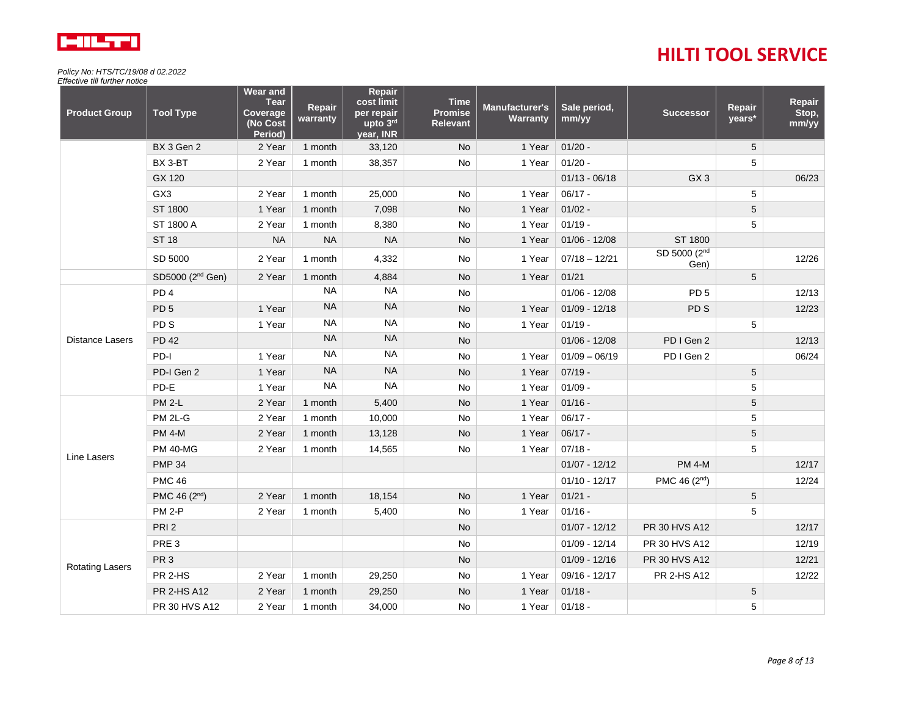

| <b>Product Group</b>   | <b>Tool Type</b>                | Wear and<br><b>Tear</b><br>Coverage<br>(No Cost<br>Period) | Repair<br>warranty | Repair<br>cost limit<br>per repair<br>upto 3rd<br>year, INR | <b>Time</b><br>Promise<br><b>Relevant</b> | <b>Manufacturer's</b><br>Warranty | Sale period,<br>mm/yy | <b>Successor</b>                 | Repair<br>years* | Repair<br>Stop,<br>mm/yy |
|------------------------|---------------------------------|------------------------------------------------------------|--------------------|-------------------------------------------------------------|-------------------------------------------|-----------------------------------|-----------------------|----------------------------------|------------------|--------------------------|
|                        | BX 3 Gen 2                      | 2 Year                                                     | 1 month            | 33,120                                                      | <b>No</b>                                 | 1 Year                            | $01/20 -$             |                                  | 5                |                          |
|                        | BX 3-BT                         | 2 Year                                                     | 1 month            | 38,357                                                      | <b>No</b>                                 | 1 Year                            | $01/20 -$             |                                  | 5                |                          |
|                        | GX 120                          |                                                            |                    |                                                             |                                           |                                   | $01/13 - 06/18$       | GX <sub>3</sub>                  |                  | 06/23                    |
|                        | GX3                             | 2 Year                                                     | 1 month            | 25,000                                                      | <b>No</b>                                 | 1 Year                            | $06/17 -$             |                                  | 5                |                          |
|                        | ST 1800                         | 1 Year                                                     | 1 month            | 7,098                                                       | <b>No</b>                                 | 1 Year                            | $01/02 -$             |                                  | 5                |                          |
|                        | ST 1800 A                       | 2 Year                                                     | 1 month            | 8,380                                                       | No                                        | 1 Year                            | $01/19 -$             |                                  | 5                |                          |
|                        | <b>ST 18</b>                    | <b>NA</b>                                                  | <b>NA</b>          | <b>NA</b>                                                   | <b>No</b>                                 | 1 Year                            | $01/06 - 12/08$       | ST 1800                          |                  |                          |
|                        | SD 5000                         | 2 Year                                                     | 1 month            | 4,332                                                       | No                                        | 1 Year                            | $07/18 - 12/21$       | SD 5000 (2 <sup>nd</sup><br>Gen) |                  | 12/26                    |
|                        | SD5000 (2 <sup>nd</sup> Gen)    | 2 Year                                                     | 1 month            | 4,884                                                       | <b>No</b>                                 | 1 Year                            | 01/21                 |                                  | 5                |                          |
|                        | PD <sub>4</sub>                 |                                                            | <b>NA</b>          | <b>NA</b>                                                   | No                                        |                                   | $01/06 - 12/08$       | PD <sub>5</sub>                  |                  | 12/13                    |
|                        | PD <sub>5</sub>                 | 1 Year                                                     | <b>NA</b>          | <b>NA</b>                                                   | <b>No</b>                                 | 1 Year                            | $01/09 - 12/18$       | PD <sub>S</sub>                  |                  | 12/23                    |
| <b>Distance Lasers</b> | PD <sub>S</sub>                 | 1 Year                                                     | <b>NA</b>          | <b>NA</b>                                                   | No                                        | 1 Year                            | $01/19 -$             |                                  | 5                |                          |
|                        | <b>PD 42</b>                    |                                                            | <b>NA</b>          | <b>NA</b>                                                   | <b>No</b>                                 |                                   | $01/06 - 12/08$       | PD I Gen 2                       |                  | 12/13                    |
|                        | PD-I                            | 1 Year                                                     | <b>NA</b>          | <b>NA</b>                                                   | <b>No</b>                                 | 1 Year                            | $01/09 - 06/19$       | PD I Gen 2                       |                  | 06/24                    |
|                        | PD-I Gen 2                      | 1 Year                                                     | <b>NA</b>          | <b>NA</b>                                                   | <b>No</b>                                 | 1 Year                            | $07/19 -$             |                                  | 5                |                          |
|                        | PD-E                            | 1 Year                                                     | <b>NA</b>          | <b>NA</b>                                                   | No                                        | 1 Year                            | $01/09 -$             |                                  | 5                |                          |
|                        | <b>PM 2-L</b>                   | 2 Year                                                     | 1 month            | 5,400                                                       | <b>No</b>                                 | 1 Year                            | $01/16 -$             |                                  | 5                |                          |
|                        | PM 2L-G                         | 2 Year                                                     | 1 month            | 10,000                                                      | No                                        | 1 Year                            | $06/17 -$             |                                  | 5                |                          |
|                        | <b>PM 4-M</b>                   | 2 Year                                                     | 1 month            | 13,128                                                      | <b>No</b>                                 | 1 Year                            | $06/17 -$             |                                  | 5                |                          |
| Line Lasers            | <b>PM 40-MG</b>                 | 2 Year                                                     | 1 month            | 14,565                                                      | No                                        | 1 Year                            | $07/18 -$             |                                  | 5                |                          |
|                        | <b>PMP 34</b>                   |                                                            |                    |                                                             |                                           |                                   | $01/07 - 12/12$       | <b>PM 4-M</b>                    |                  | 12/17                    |
|                        | <b>PMC 46</b>                   |                                                            |                    |                                                             |                                           |                                   | $01/10 - 12/17$       | PMC 46 $(2^{nd})$                |                  | 12/24                    |
|                        | PMC 46 (2 <sup>nd</sup> )       | 2 Year                                                     | 1 month            | 18,154                                                      | <b>No</b>                                 | 1 Year                            | $01/21 -$             |                                  | 5                |                          |
|                        | <b>PM 2-P</b>                   | 2 Year                                                     | 1 month            | 5,400                                                       | No                                        | 1 Year                            | $01/16 -$             |                                  | 5                |                          |
|                        | PRI <sub>2</sub>                |                                                            |                    |                                                             | <b>No</b>                                 |                                   | $01/07 - 12/12$       | PR 30 HVS A12                    |                  | 12/17                    |
|                        | PRE <sub>3</sub>                |                                                            |                    |                                                             | <b>No</b>                                 |                                   | $01/09 - 12/14$       | PR 30 HVS A12                    |                  | 12/19                    |
| <b>Rotating Lasers</b> | PR <sub>3</sub>                 |                                                            |                    |                                                             | <b>No</b>                                 |                                   | $01/09 - 12/16$       | PR 30 HVS A12                    |                  | 12/21                    |
|                        | PR <sub>2</sub> -H <sub>S</sub> | 2 Year                                                     | 1 month            | 29,250                                                      | <b>No</b>                                 | 1 Year                            | 09/16 - 12/17         | PR 2-HS A12                      |                  | 12/22                    |
|                        | <b>PR 2-HS A12</b>              | 2 Year                                                     | 1 month            | 29,250                                                      | <b>No</b>                                 | 1 Year                            | $01/18 -$             |                                  | 5                |                          |
|                        | <b>PR 30 HVS A12</b>            | 2 Year                                                     | 1 month            | 34,000                                                      | <b>No</b>                                 | 1 Year                            | $01/18 -$             |                                  | 5                |                          |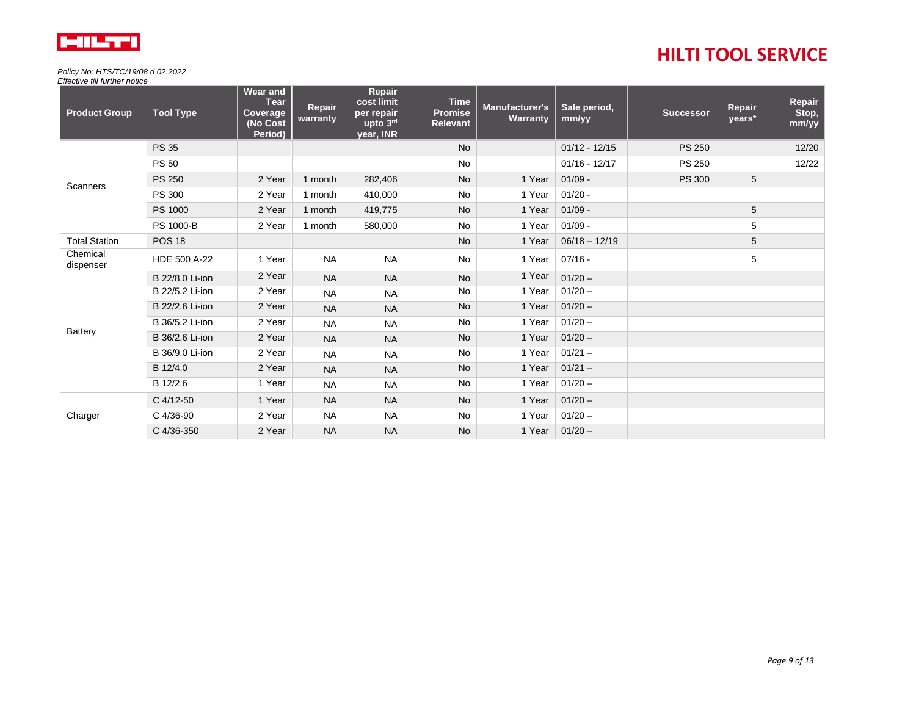

| <b>Product Group</b>  | <b>Tool Type</b> | <b>Wear and</b><br><b>Tear</b><br>Coverage<br>(No Cost<br>Period) | Repair<br>warranty | Repair<br>cost limit<br>per repair<br>upto 3rd<br>year, INR | <b>Time</b><br><b>Promise</b><br><b>Relevant</b> | <b>Manufacturer's</b><br>Warranty | Sale period,<br>mm/yy | Successor     | Repair<br>years* | Repair<br>Stop,<br>mm/yy |
|-----------------------|------------------|-------------------------------------------------------------------|--------------------|-------------------------------------------------------------|--------------------------------------------------|-----------------------------------|-----------------------|---------------|------------------|--------------------------|
|                       | <b>PS 35</b>     |                                                                   |                    |                                                             | <b>No</b>                                        |                                   | $01/12 - 12/15$       | <b>PS 250</b> |                  | 12/20                    |
|                       | <b>PS 50</b>     |                                                                   |                    |                                                             | <b>No</b>                                        |                                   | $01/16 - 12/17$       | <b>PS 250</b> |                  | 12/22                    |
| Scanners              | <b>PS 250</b>    | 2 Year                                                            | 1 month            | 282,406                                                     | No                                               | 1 Year                            | $01/09 -$             | <b>PS 300</b> | 5                |                          |
|                       | <b>PS 300</b>    | 2 Year                                                            | 1 month            | 410,000                                                     | <b>No</b>                                        | 1 Year                            | $01/20 -$             |               |                  |                          |
|                       | PS 1000          | 2 Year                                                            | 1 month            | 419,775                                                     | <b>No</b>                                        | 1 Year                            | $01/09 -$             |               | 5                |                          |
|                       | PS 1000-B        | 2 Year                                                            | 1 month            | 580,000                                                     | <b>No</b>                                        | 1 Year                            | $01/09 -$             |               | 5                |                          |
| <b>Total Station</b>  | <b>POS 18</b>    |                                                                   |                    |                                                             | <b>No</b>                                        | 1 Year                            | $06/18 - 12/19$       |               | 5                |                          |
| Chemical<br>dispenser | HDE 500 A-22     | 1 Year                                                            | <b>NA</b>          | <b>NA</b>                                                   | No                                               | 1 Year                            | $07/16 -$             |               | 5                |                          |
|                       | B 22/8.0 Li-ion  | 2 Year                                                            | <b>NA</b>          | <b>NA</b>                                                   | <b>No</b>                                        | 1 Year                            | $01/20 -$             |               |                  |                          |
|                       | B 22/5.2 Li-ion  | 2 Year                                                            | <b>NA</b>          | <b>NA</b>                                                   | <b>No</b>                                        | 1 Year                            | $01/20 -$             |               |                  |                          |
|                       | B 22/2.6 Li-ion  | 2 Year                                                            | <b>NA</b>          | <b>NA</b>                                                   | <b>No</b>                                        | 1 Year                            | $01/20 -$             |               |                  |                          |
|                       | B 36/5.2 Li-ion  | 2 Year                                                            | <b>NA</b>          | <b>NA</b>                                                   | No                                               | 1 Year                            | $01/20 -$             |               |                  |                          |
| <b>Battery</b>        | B 36/2.6 Li-ion  | 2 Year                                                            | <b>NA</b>          | <b>NA</b>                                                   | <b>No</b>                                        | 1 Year                            | $01/20 -$             |               |                  |                          |
|                       | B 36/9.0 Li-ion  | 2 Year                                                            | <b>NA</b>          | <b>NA</b>                                                   | <b>No</b>                                        | 1 Year                            | $01/21 -$             |               |                  |                          |
|                       | B 12/4.0         | 2 Year                                                            | <b>NA</b>          | <b>NA</b>                                                   | No                                               | 1 Year                            | $01/21 -$             |               |                  |                          |
|                       | B 12/2.6         | 1 Year                                                            | <b>NA</b>          | <b>NA</b>                                                   | <b>No</b>                                        | 1 Year                            | $01/20 -$             |               |                  |                          |
|                       | C 4/12-50        | 1 Year                                                            | <b>NA</b>          | <b>NA</b>                                                   | No                                               | 1 Year                            | $01/20 -$             |               |                  |                          |
| Charger               | C 4/36-90        | 2 Year                                                            | <b>NA</b>          | <b>NA</b>                                                   | <b>No</b>                                        | 1 Year                            | $01/20 -$             |               |                  |                          |
|                       | C 4/36-350       | 2 Year                                                            | <b>NA</b>          | <b>NA</b>                                                   | <b>No</b>                                        | 1 Year                            | $01/20 -$             |               |                  |                          |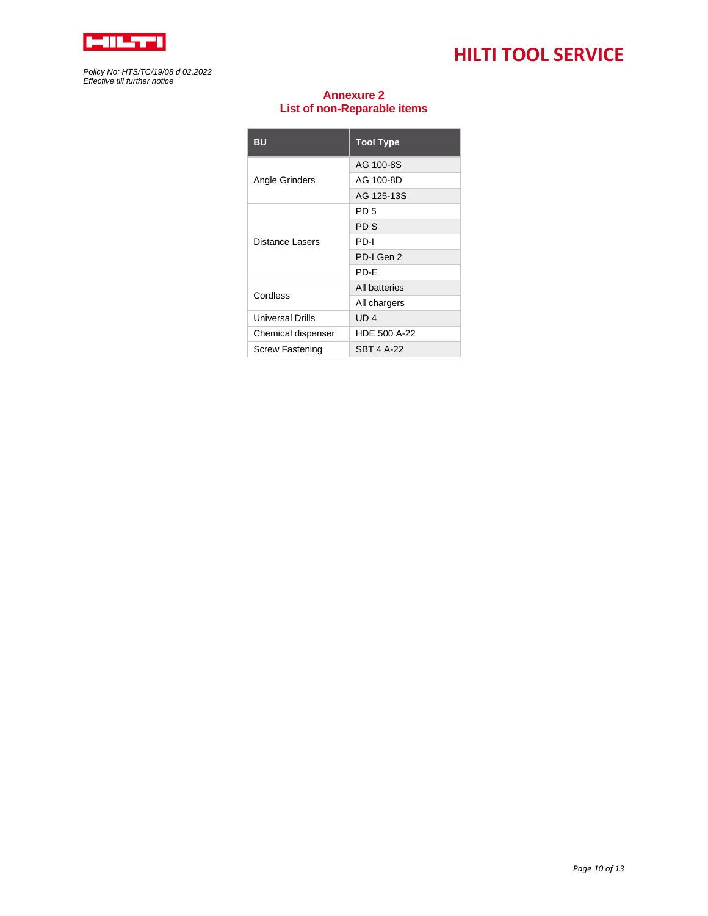

<span id="page-9-0"></span>*Policy No: HTS/TC/19/08 d 02.2022 Effective till further notice*

### **Annexure 2 List of non-Reparable items**

| BU                     | <b>Tool Type</b>  |
|------------------------|-------------------|
|                        | AG 100-8S         |
| Angle Grinders         | AG 100-8D         |
|                        | AG 125-13S        |
|                        | PD <sub>5</sub>   |
|                        | PD S              |
| Distance Lasers        | PD-I              |
|                        | PD-I Gen 2        |
|                        | PD-E              |
| Cordless               | All batteries     |
|                        | All chargers      |
| Universal Drills       | UD <sub>4</sub>   |
| Chemical dispenser     | HDE 500 A-22      |
| <b>Screw Fastening</b> | <b>SBT 4 A-22</b> |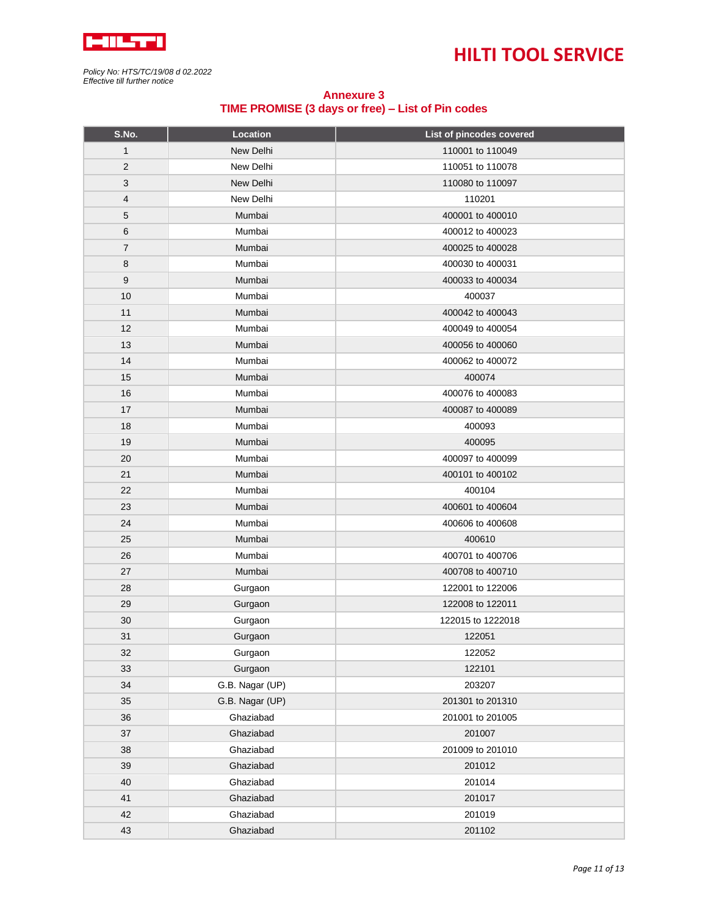

<span id="page-10-0"></span>*Policy No: HTS/TC/19/08 d 02.2022 Effective till further notice*

### **Annexure 3 TIME PROMISE (3 days or free) – List of Pin codes**

| S.No.          | Location        | List of pincodes covered |
|----------------|-----------------|--------------------------|
| 1              | New Delhi       | 110001 to 110049         |
| $\overline{c}$ | New Delhi       | 110051 to 110078         |
| 3              | New Delhi       | 110080 to 110097         |
| 4              | New Delhi       | 110201                   |
| 5              | Mumbai          | 400001 to 400010         |
| 6              | Mumbai          | 400012 to 400023         |
| $\overline{7}$ | Mumbai          | 400025 to 400028         |
| 8              | Mumbai          | 400030 to 400031         |
| 9              | Mumbai          | 400033 to 400034         |
| 10             | Mumbai          | 400037                   |
| 11             | Mumbai          | 400042 to 400043         |
| 12             | Mumbai          | 400049 to 400054         |
| 13             | Mumbai          | 400056 to 400060         |
| 14             | Mumbai          | 400062 to 400072         |
| 15             | Mumbai          | 400074                   |
| 16             | Mumbai          | 400076 to 400083         |
| 17             | Mumbai          | 400087 to 400089         |
| 18             | Mumbai          | 400093                   |
| 19             | Mumbai          | 400095                   |
| 20             | Mumbai          | 400097 to 400099         |
| 21             | Mumbai          | 400101 to 400102         |
| 22             | Mumbai          | 400104                   |
| 23             | Mumbai          | 400601 to 400604         |
| 24             | Mumbai          | 400606 to 400608         |
| 25             | Mumbai          | 400610                   |
| 26             | Mumbai          | 400701 to 400706         |
| 27             | Mumbai          | 400708 to 400710         |
| 28             | Gurgaon         | 122001 to 122006         |
| 29             | Gurgaon         | 122008 to 122011         |
| 30             | Gurgaon         | 122015 to 1222018        |
| 31             | Gurgaon         | 122051                   |
| 32             | Gurgaon         | 122052                   |
| 33             | Gurgaon         | 122101                   |
| 34             | G.B. Nagar (UP) | 203207                   |
| 35             | G.B. Nagar (UP) | 201301 to 201310         |
| 36             | Ghaziabad       | 201001 to 201005         |
| 37             | Ghaziabad       | 201007                   |
| 38             | Ghaziabad       | 201009 to 201010         |
| 39             | Ghaziabad       | 201012                   |
| 40             | Ghaziabad       | 201014                   |
| 41             | Ghaziabad       | 201017                   |
| 42             | Ghaziabad       | 201019                   |
| 43             | Ghaziabad       | 201102                   |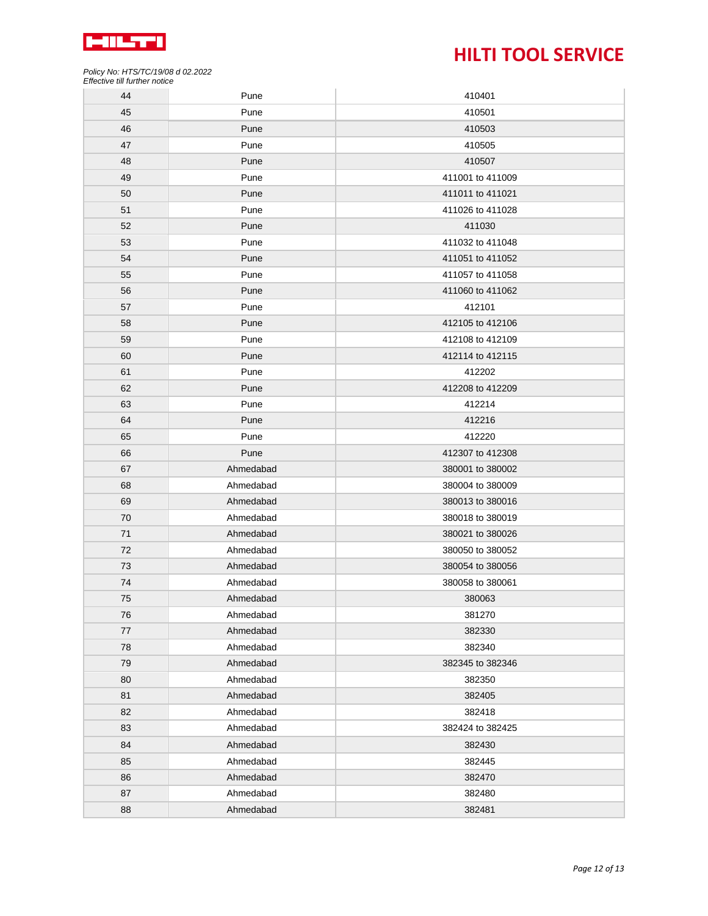

### *Policy No: HTS/TC/19/08 d 02.2022*

*Effective till further notice*

| 44 | Pune      | 410401           |
|----|-----------|------------------|
| 45 | Pune      | 410501           |
| 46 | Pune      | 410503           |
| 47 | Pune      | 410505           |
| 48 | Pune      | 410507           |
| 49 | Pune      | 411001 to 411009 |
| 50 | Pune      | 411011 to 411021 |
| 51 | Pune      | 411026 to 411028 |
| 52 | Pune      | 411030           |
| 53 | Pune      | 411032 to 411048 |
| 54 | Pune      | 411051 to 411052 |
| 55 | Pune      | 411057 to 411058 |
| 56 | Pune      | 411060 to 411062 |
| 57 | Pune      | 412101           |
| 58 | Pune      | 412105 to 412106 |
| 59 | Pune      | 412108 to 412109 |
| 60 | Pune      | 412114 to 412115 |
| 61 | Pune      | 412202           |
| 62 | Pune      | 412208 to 412209 |
| 63 | Pune      | 412214           |
| 64 | Pune      | 412216           |
| 65 | Pune      | 412220           |
| 66 | Pune      | 412307 to 412308 |
| 67 | Ahmedabad | 380001 to 380002 |
| 68 | Ahmedabad | 380004 to 380009 |
| 69 | Ahmedabad | 380013 to 380016 |
| 70 | Ahmedabad | 380018 to 380019 |
| 71 | Ahmedabad | 380021 to 380026 |
| 72 | Ahmedabad | 380050 to 380052 |
| 73 | Ahmedabad | 380054 to 380056 |
| 74 | Ahmedabad | 380058 to 380061 |
| 75 | Ahmedabad | 380063           |
| 76 | Ahmedabad | 381270           |
| 77 | Ahmedabad | 382330           |
| 78 | Ahmedabad | 382340           |
| 79 | Ahmedabad | 382345 to 382346 |
| 80 | Ahmedabad | 382350           |
| 81 | Ahmedabad | 382405           |
| 82 | Ahmedabad | 382418           |
| 83 | Ahmedabad | 382424 to 382425 |
| 84 | Ahmedabad | 382430           |
| 85 | Ahmedabad | 382445           |
| 86 | Ahmedabad | 382470           |
| 87 | Ahmedabad | 382480           |
| 88 | Ahmedabad | 382481           |